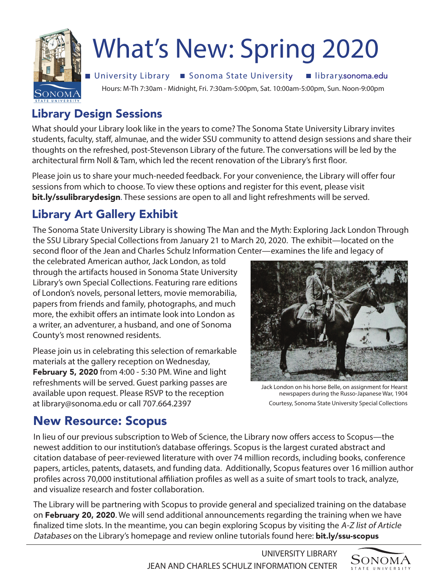

# What's New: Spring 2020

■ University Library ■ Sonoma State University ■ library.sonoma.edu

Hours: M-Th 7:30am - Midnight, Fri. 7:30am-5:00pm, Sat. 10:00am-5:00pm, Sun. Noon-9:00pm

### Library Design Sessions

What should your Library look like in the years to come? The Sonoma State University Library invites students, faculty, staf, almunae, and the wider SSU community to attend design sessions and share their thoughts on the refreshed, post-Stevenson Library of the future. The conversations will be led by the architectural frm Noll & Tam, which led the recent renovation of the Library's frst foor.

Please join us to share your much-needed feedback. For your convenience, the Library will offer four sessions from which to choose. To view these options and register for this event, please visit bit.ly/ssulibrarydesign. These sessions are open to all and light refreshments will be served.

# Library Art Gallery Exhibit

The Sonoma State University Library is showing The Man and the Myth: Exploring Jack London Through the SSU Library Special Collections from January 21 to March 20, 2020. The exhibit—located on the second foor of the Jean and Charles Schulz Information Center—examines the life and legacy of

the celebrated American author, Jack London, as told through the artifacts housed in Sonoma State University Library's own Special Collections. Featuring rare editions of London's novels, personal letters, movie memorabilia, papers from friends and family, photographs, and much more, the exhibit offers an intimate look into London as a writer, an adventurer, a husband, and one of Sonoma County's most renowned residents.

Please join us in celebrating this selection of remarkable materials at the gallery reception on Wednesday, February 5, 2020 from 4:00 - 5:30 PM. Wine and light refreshments will be served. Guest parking passes are available upon request. Please RSVP to the reception at library@sonoma.edu or call 707.664.2397



Jack London on his horse Belle, on assignment for Hearst newspapers during the Russo-Japanese War, 1904 Courtesy, Sonoma State University Special Collections

## New Resource: Scopus

In lieu of our previous subscription to Web of Science, the Library now offers access to Scopus—the newest addition to our institution's database offerings. Scopus is the largest curated abstract and citation database of peer-reviewed literature with over 74 million records, including books, conference papers, articles, patents, datasets, and funding data. Additionally, Scopus features over 16 million author profiles across 70,000 institutional affiliation profiles as well as a suite of smart tools to track, analyze, and visualize research and foster collaboration.

The Library will be partnering with Scopus to provide general and specialized training on the database on February 20, 2020. We will send additional announcements regarding the training when we have fnalized time slots. In the meantime, you can begin exploring Scopus by visiting the A-Z list of Article Databases on the Library's homepage and review online tutorials found here: **bit.ly/ssu-scopus** 

> UNIVERSITY LIBRARY JEAN AND CHARLES SCHULZ INFORMATION CENTER